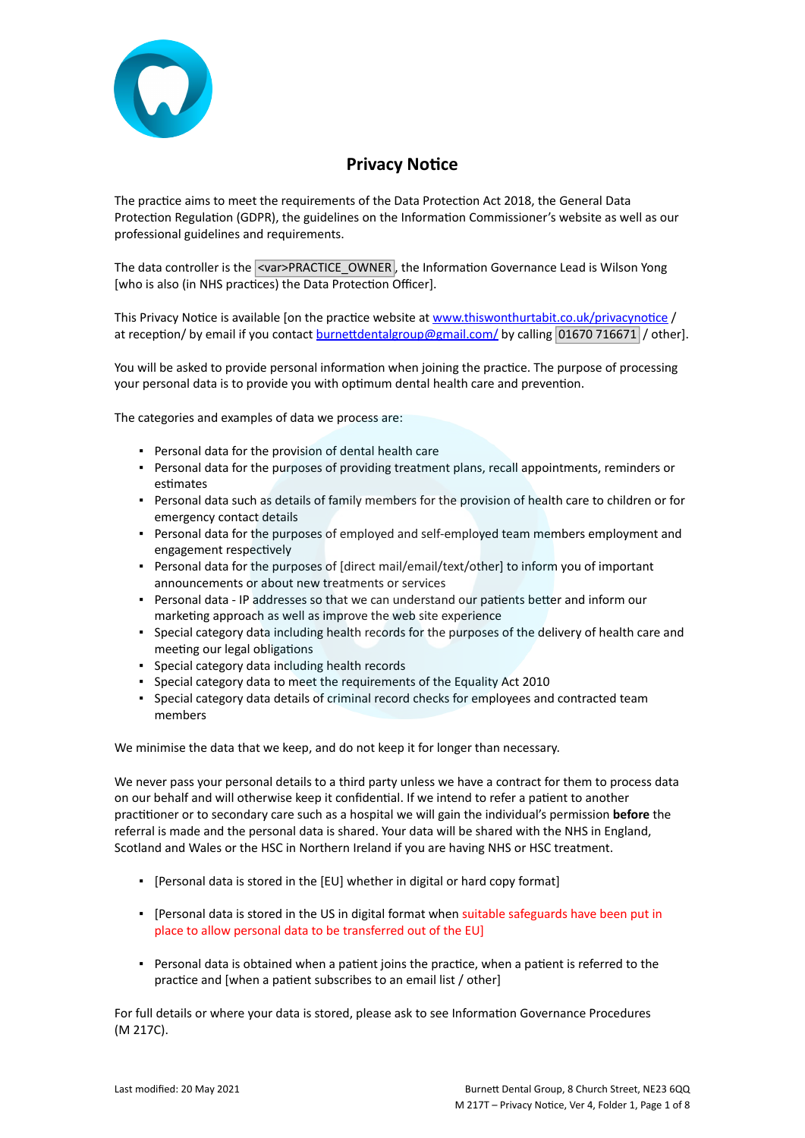

# **Privacy Notice**

The practice aims to meet the requirements of the Data Protection Act 2018, the General Data Protection Regulation (GDPR), the guidelines on the Information Commissioner's website as well as our professional guidelines and requirements.

The data controller is the <var>PRACTICE\_OWNER, the Information Governance Lead is Wilson Yong [who is also (in NHS practices) the Data Protection Officer].

This Privacy Notice is available [on the practice website at [www.thiswonthurtabit.co.uk/privacynotice](http://www.practice.com/) / at reception/ by email if you contact [burnettdentalgroup@gmail.com/](mailto:info@practice.com) by calling 01670 716671 / other].

You will be asked to provide personal information when joining the practice. The purpose of processing your personal data is to provide you with optimum dental health care and prevention.

The categories and examples of data we process are:

- Personal data for the provision of dental health care
- Personal data for the purposes of providing treatment plans, recall appointments, reminders or estimates
- Personal data such as details of family members for the provision of health care to children or for emergency contact details
- Personal data for the purposes of employed and self-employed team members employment and engagement respectively
- Personal data for the purposes of [direct mail/email/text/other] to inform you of important announcements or about new treatments or services
- **•** Personal data IP addresses so that we can understand our patients better and inform our marketing approach as well as improve the web site experience
- Special category data including health records for the purposes of the delivery of health care and meeting our legal obligations
- Special category data including health records
- Special category data to meet the requirements of the Equality Act 2010
- Special category data details of criminal record checks for employees and contracted team members

We minimise the data that we keep, and do not keep it for longer than necessary.

We never pass your personal details to a third party unless we have a contract for them to process data on our behalf and will otherwise keep it confidential. If we intend to refer a patient to another practitioner or to secondary care such as a hospital we will gain the individual's permission **before** the referral is made and the personal data is shared. Your data will be shared with the NHS in England, Scotland and Wales or the HSC in Northern Ireland if you are having NHS or HSC treatment.

- [Personal data is stored in the [EU] whether in digital or hard copy format]
- [Personal data is stored in the US in digital format when suitable safeguards have been put in place to allow personal data to be transferred out of the EU]
- Personal data is obtained when a patient joins the practice, when a patient is referred to the practice and [when a patient subscribes to an email list / other]

For full details or where your data is stored, please ask to see Information Governance Procedures (M 217C).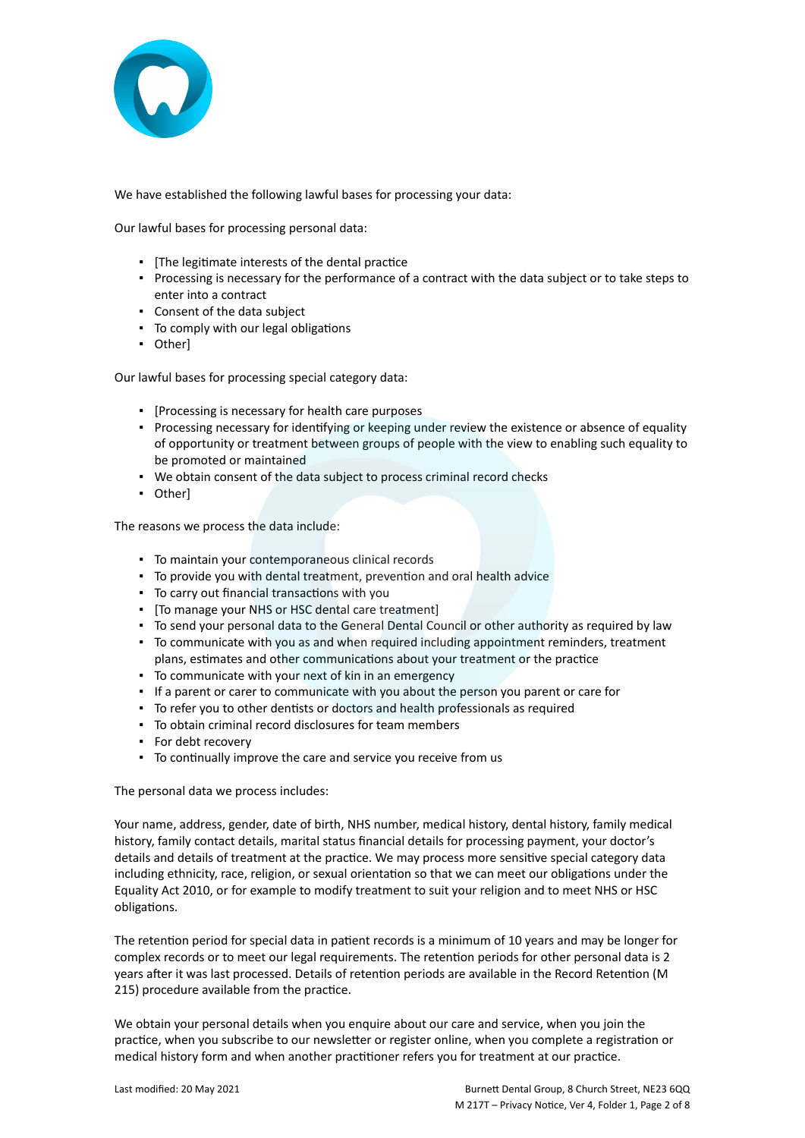

We have established the following lawful bases for processing your data:

Our lawful bases for processing personal data:

- [The legitimate interests of the dental practice
- Processing is necessary for the performance of a contract with the data subject or to take steps to enter into a contract
- Consent of the data subject
- To comply with our legal obligations
- Other]

Our lawful bases for processing special category data:

- [Processing is necessary for health care purposes
- Processing necessary for identifying or keeping under review the existence or absence of equality of opportunity or treatment between groups of people with the view to enabling such equality to be promoted or maintained
- We obtain consent of the data subject to process criminal record checks
- Other]

The reasons we process the data include:

- To maintain your contemporaneous clinical records
- To provide you with dental treatment, prevention and oral health advice
- To carry out financial transactions with you
- [To manage your NHS or HSC dental care treatment]
- To send your personal data to the General Dental Council or other authority as required by law
- To communicate with you as and when required including appointment reminders, treatment plans, estimates and other communications about your treatment or the practice
- To communicate with your next of kin in an emergency
- If a parent or carer to communicate with you about the person you parent or care for
- To refer you to other dentists or doctors and health professionals as required
- To obtain criminal record disclosures for team members
- For debt recovery
- To continually improve the care and service you receive from us

The personal data we process includes:

Your name, address, gender, date of birth, NHS number, medical history, dental history, family medical history, family contact details, marital status financial details for processing payment, your doctor's details and details of treatment at the practice. We may process more sensitive special category data including ethnicity, race, religion, or sexual orientation so that we can meet our obligations under the Equality Act 2010, or for example to modify treatment to suit your religion and to meet NHS or HSC obligations.

The retention period for special data in patient records is a minimum of 10 years and may be longer for complex records or to meet our legal requirements. The retention periods for other personal data is 2 years after it was last processed. Details of retention periods are available in the Record Retention (M 215) procedure available from the practice.

We obtain your personal details when you enquire about our care and service, when you join the practice, when you subscribe to our newsletter or register online, when you complete a registration or medical history form and when another practitioner refers you for treatment at our practice.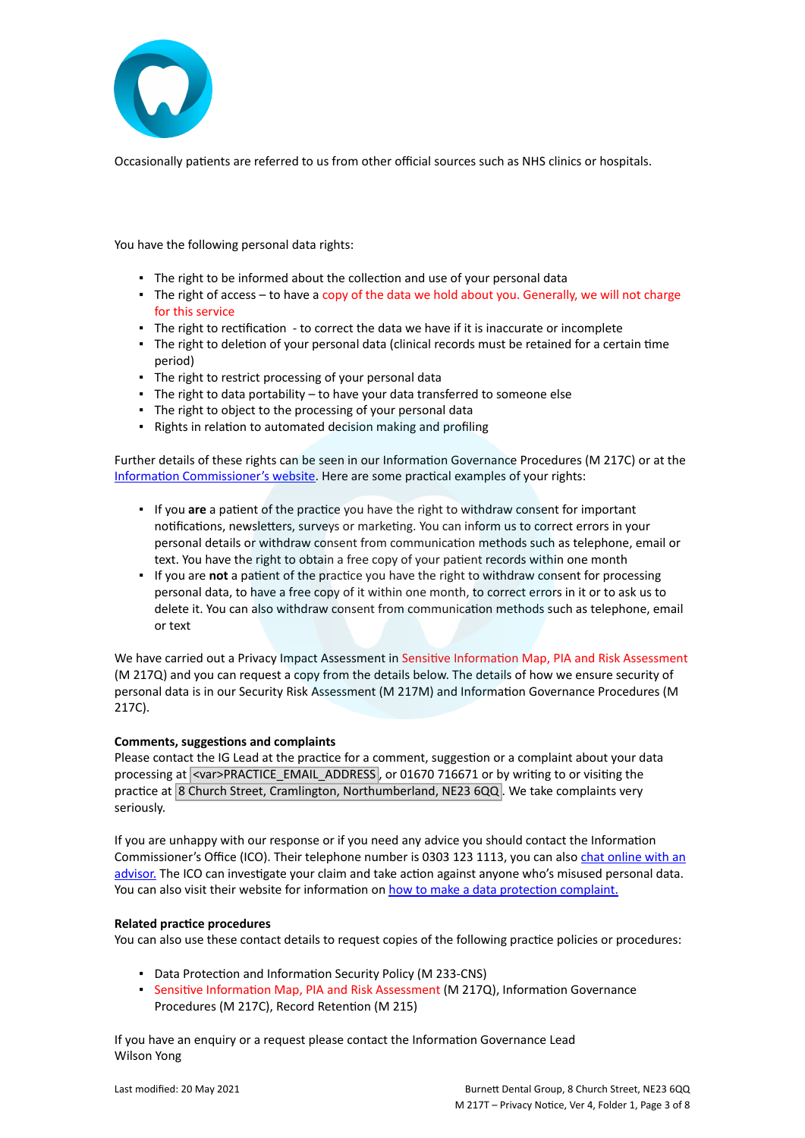

Occasionally patients are referred to us from other official sources such as NHS clinics or hospitals.

You have the following personal data rights:

- The right to be informed about the collection and use of your personal data
- The right of access to have a copy of the data we hold about you. Generally, we will not charge for this service
- The right to rectification to correct the data we have if it is inaccurate or incomplete
- The right to deletion of your personal data (clinical records must be retained for a certain time period)
- The right to restrict processing of your personal data
- $\blacksquare$  The right to data portability to have your data transferred to someone else
- The right to object to the processing of your personal data
- Rights in relation to automated decision making and profiling

Further details of these rights can be seen in our Information Governance Procedures (M 217C) or at the [Information Commissioner's website](https://ico.org.uk/for-organisations/guide-to-the-general-data-protection-regulation-gdpr/individual-rights/). Here are some practical examples of your rights:

- If you **are** a patient of the practice you have the right to withdraw consent for important notifications, newsletters, surveys or marketing. You can inform us to correct errors in your personal details or withdraw consent from communication methods such as telephone, email or text. You have the right to obtain a free copy of your patient records within one month
- If you are **not** a patient of the practice you have the right to withdraw consent for processing personal data, to have a free copy of it within one month, to correct errors in it or to ask us to delete it. You can also withdraw consent from communication methods such as telephone, email or text

We have carried out a Privacy Impact Assessment in Sensitive Information Map, PIA and Risk Assessment (M 217Q) and you can request a copy from the details below. The details of how we ensure security of personal data is in our Security Risk Assessment (M 217M) and Information Governance Procedures (M 217C).

#### **Comments, suggestions and complaints**

Please contact the IG Lead at the practice for a comment, suggestion or a complaint about your data processing at <var>PRACTICE\_EMAIL\_ADDRESS, or 01670 716671 or by writing to or visiting the practice at 8 Church Street, Cramlington, Northumberland, NE23 6QQ. We take complaints very seriously.

If you are unhappy with our response or if you need any advice you should contact the Information Commissioner's Office (ICO). Their telephone number is 0303 123 1113, you can also [chat online with an](https://ico.org.uk/global/contact-us/live-chat/) [advisor.](https://ico.org.uk/global/contact-us/live-chat/) The ICO can investigate your claim and take action against anyone who's misused personal data. You can also visit their website for information on [how to make a data protection complaint.](http://www.ico.org.uk/complaints)

#### **Related practice procedures**

You can also use these contact details to request copies of the following practice policies or procedures:

- Data Protection and Information Security Policy (M 233-CNS)
- Sensitive Information Map, PIA and Risk Assessment (M 217Q), Information Governance Procedures (M 217C), Record Retention (M 215)

If you have an enquiry or a request please contact the Information Governance Lead Wilson Yong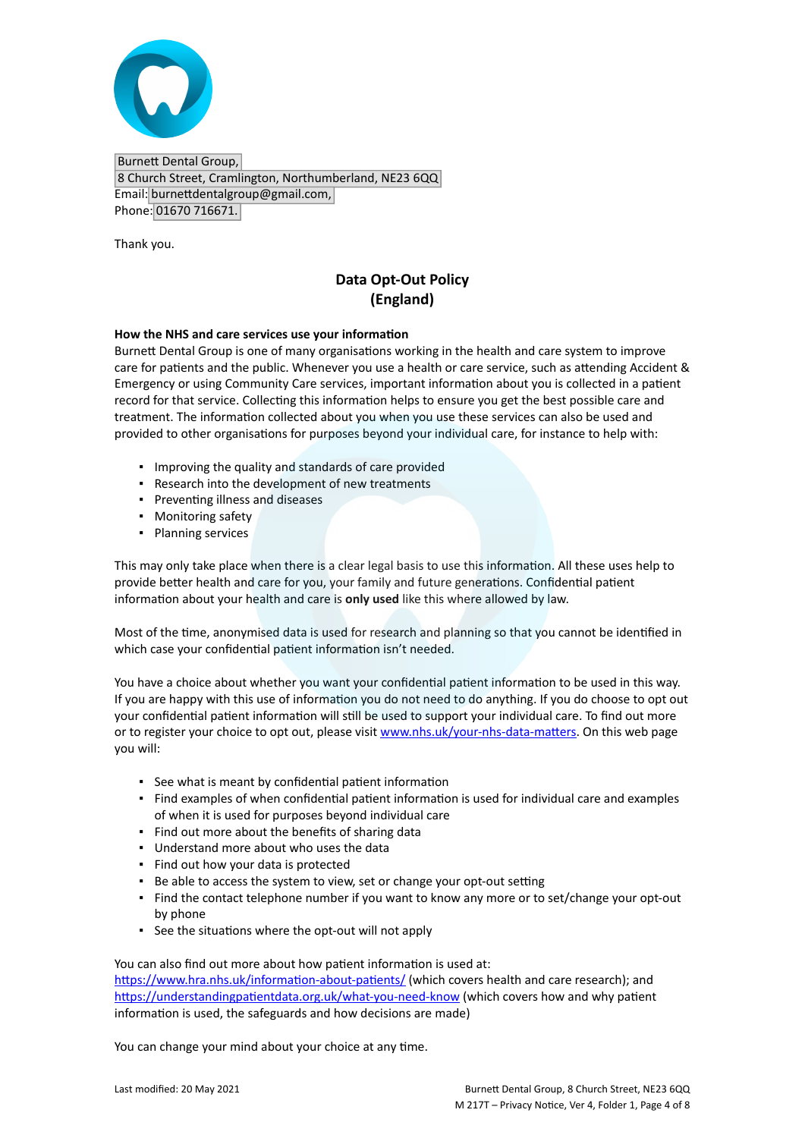

Burnett Dental Group, 8 Church Street, Cramlington, Northumberland, NE23 6QQ Email: burnettdentalgroup@gmail.com, Phone: 01670 716671.

Thank you.

## **Data Opt-Out Policy (England)**

#### **How the NHS and care services use your information**

Burnett Dental Group is one of many organisations working in the health and care system to improve care for patients and the public. Whenever you use a health or care service, such as attending Accident & Emergency or using Community Care services, important information about you is collected in a patient record for that service. Collecting this information helps to ensure you get the best possible care and treatment. The information collected about you when you use these services can also be used and provided to other organisations for purposes beyond your individual care, for instance to help with:

- Improving the quality and standards of care provided
- Research into the development of new treatments
- Preventing illness and diseases
- Monitoring safety
- Planning services

This may only take place when there is a clear legal basis to use this information. All these uses help to provide better health and care for you, your family and future generations. Confidential patient information about your health and care is **only used** like this where allowed by law.

Most of the time, anonymised data is used for research and planning so that you cannot be identified in which case your confidential patient information isn't needed.

You have a choice about whether you want your confidential patient information to be used in this way. If you are happy with this use of information you do not need to do anything. If you do choose to opt out your confidential patient information will still be used to support your individual care. To find out more or to register your choice to opt out, please visit [www.nhs.uk/your-nhs-data-matters](http://www.nhs.uk/your-nhs-data-matters). On this web page you will:

- See what is meant by confidential patient information
- Find examples of when confidential patient information is used for individual care and examples of when it is used for purposes beyond individual care
- Find out more about the benefits of sharing data
- Understand more about who uses the data
- Find out how your data is protected
- Be able to access the system to view, set or change your opt-out setting
- Find the contact telephone number if you want to know any more or to set/change your opt-out by phone
- See the situations where the opt-out will not apply

You can also find out more about how patient information is used at:

[https://www.hra.nhs.uk/information-about-patients/](https://www.hra.nhs.uk/information-about-patients/%20) (which covers health and care research); and <https://understandingpatientdata.org.uk/what-you-need-know> (which covers how and why patient information is used, the safeguards and how decisions are made)

You can change your mind about your choice at any time.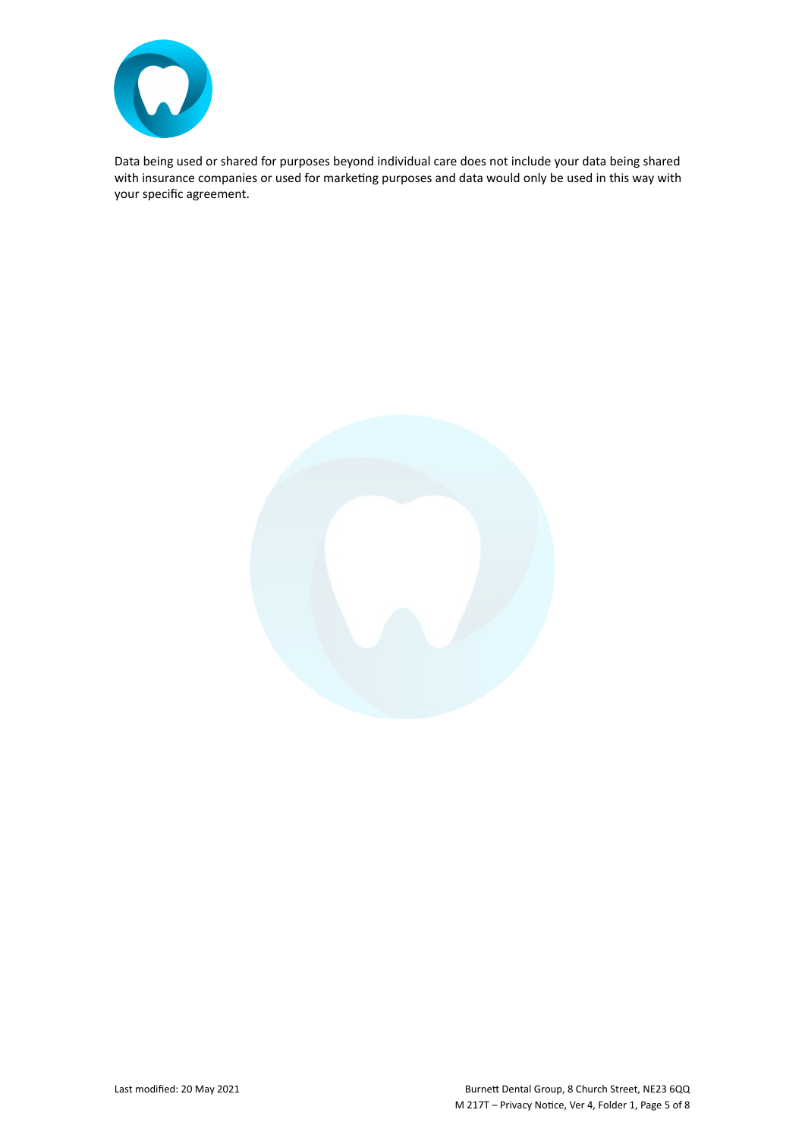

Data being used or shared for purposes beyond individual care does not include your data being shared with insurance companies or used for marketing purposes and data would only be used in this way with your specific agreement.

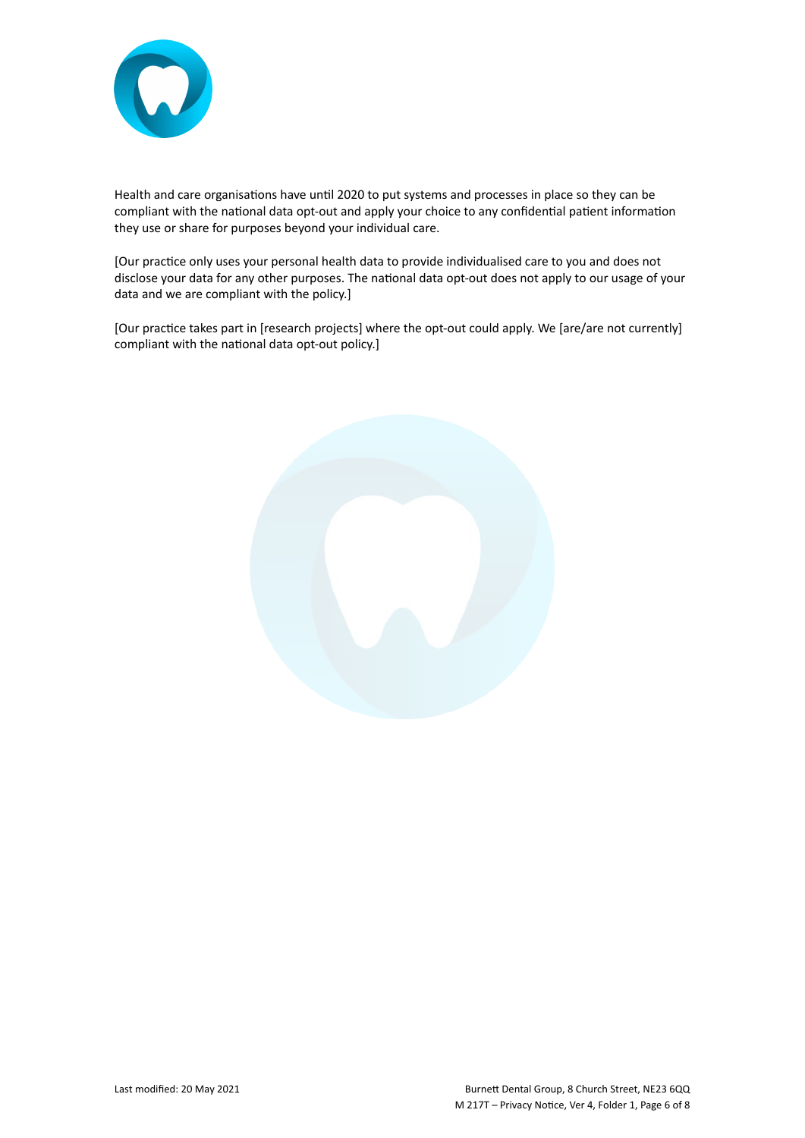

Health and care organisations have until 2020 to put systems and processes in place so they can be compliant with the national data opt-out and apply your choice to any confidential patient information they use or share for purposes beyond your individual care.

[Our practice only uses your personal health data to provide individualised care to you and does not disclose your data for any other purposes. The national data opt-out does not apply to our usage of your data and we are compliant with the policy.]

[Our practice takes part in [research projects] where the opt-out could apply. We [are/are not currently] compliant with the national data opt-out policy.]

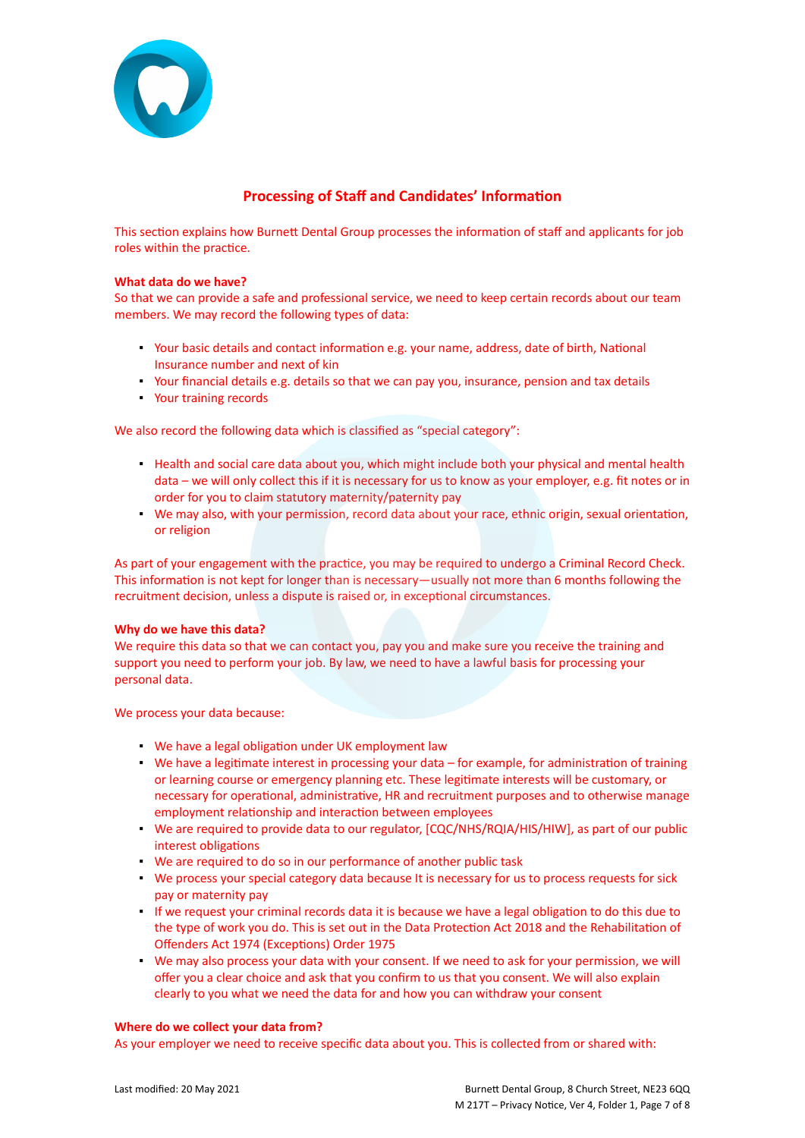

### **Processing of Staff and Candidates' Information**

This section explains how Burnett Dental Group processes the information of staff and applicants for job roles within the practice.

#### **What data do we have?**

So that we can provide a safe and professional service, we need to keep certain records about our team members. We may record the following types of data:

- Your basic details and contact information e.g. your name, address, date of birth, National Insurance number and next of kin
- Your financial details e.g. details so that we can pay you, insurance, pension and tax details
- Your training records

We also record the following data which is classified as "special category":

- Health and social care data about you, which might include both your physical and mental health data – we will only collect this if it is necessary for us to know as your employer, e.g. fit notes or in order for you to claim statutory maternity/paternity pay
- We may also, with your permission, record data about your race, ethnic origin, sexual orientation, or religion

As part of your engagement with the practice, you may be required to undergo a Criminal Record Check. This information is not kept for longer than is necessary—usually not more than 6 months following the recruitment decision, unless a dispute is raised or, in exceptional circumstances.

#### **Why do we have this data?**

We require this data so that we can contact you, pay you and make sure you receive the training and support you need to perform your job. By law, we need to have a lawful basis for processing your personal data.

We process your data because:

- We have a legal obligation under UK employment law
- We have a legitimate interest in processing your data for example, for administration of training or learning course or emergency planning etc. These legitimate interests will be customary, or necessary for operational, administrative, HR and recruitment purposes and to otherwise manage employment relationship and interaction between employees
- We are required to provide data to our regulator, [CQC/NHS/RQIA/HIS/HIW], as part of our public interest obligations
- We are required to do so in our performance of another public task
- We process your special category data because It is necessary for us to process requests for sick pay or maternity pay
- If we request your criminal records data it is because we have a legal obligation to do this due to the type of work you do. This is set out in the Data Protection Act 2018 and the Rehabilitation of Offenders Act 1974 (Exceptions) Order 1975
- We may also process your data with your consent. If we need to ask for your permission, we will offer you a clear choice and ask that you confirm to us that you consent. We will also explain clearly to you what we need the data for and how you can withdraw your consent

#### **Where do we collect your data from?**

As your employer we need to receive specific data about you. This is collected from or shared with: